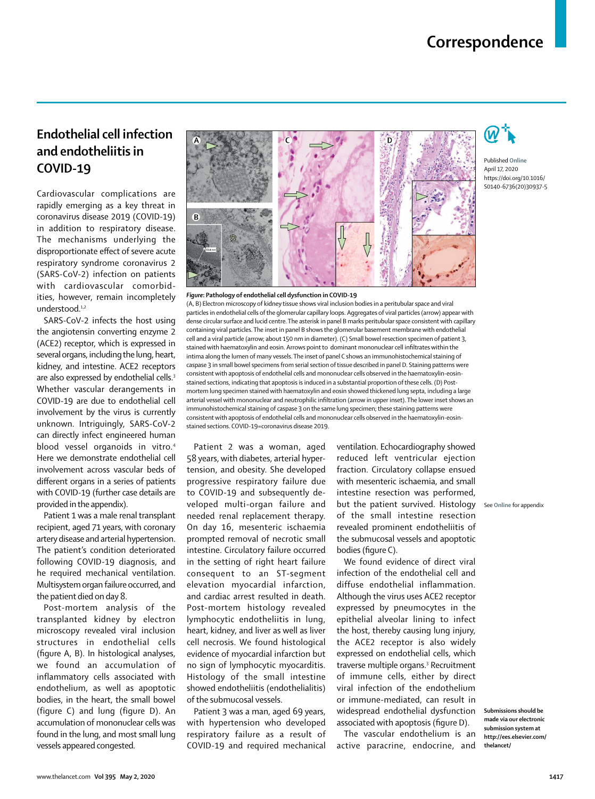# **Endothelial cell infection and endotheliitis in COVID-19**

Cardiovascular complications are rapidly emerging as a key threat in coronavirus disease 2019 (COVID-19) in addition to respiratory disease. The mechanisms underlying the disproportionate effect of severe acute respiratory syndrome coronavirus 2 (SARS-CoV-2) infection on patients with cardiovascular comorbidities, however, remain incompletely understood.<sup>1,2</sup>

SARS-CoV-2 infects the host using the angiotensin converting enzyme 2 (ACE2) receptor, which is expressed in several organs, including the lung, heart, kidney, and intestine. ACE2 receptors are also expressed by endothelial cells.<sup>3</sup> Whether vascular derangements in COVID-19 are due to endothelial cell involvement by the virus is currently unknown. Intriguingly, SARS-CoV-2 can directly infect engineered human blood vessel organoids in vitro.<sup>4</sup> Here we demonstrate endothelial cell involvement across vascular beds of different organs in a series of patients with COVID-19 (further case details are provided in the appendix).

Patient 1 was a male renal transplant recipient, aged 71 years, with coronary artery disease and arterial hypertension. The patient's condition deteriorated following COVID-19 diagnosis, and he required mechanical ventilation. Multisystem organ failure occurred, and the patient died on day 8.

Post-mortem analysis of the transplanted kidney by electron microscopy revealed viral inclusion structures in endothelial cells (figure A, B). In histological analyses, we found an accumulation of inflammatory cells associated with endothelium, as well as apoptotic bodies, in the heart, the small bowel (figure C) and lung (figure D). An accumulation of mononuclear cells was found in the lung, and most small lung vessels appeared congested.



### *Figure***: Pathology of endothelial cell dysfunction in COVID-19**

(A, B) Electron microscopy of kidney tissue shows viral inclusion bodies in a peritubular space and viral particles in endothelial cells of the glomerular capillary loops. Aggregates of viral particles (arrow) appear with dense circular surface and lucid centre. The asterisk in panel B marks peritubular space consistent with capillary containing viral particles. The inset in panel B shows the glomerular basement membrane with endothelial cell and a viral particle (arrow; about 150 nm in diameter). (C) Small bowel resection specimen of patient 3, stained with haematoxylin and eosin. Arrows point to dominant mononuclear cell infiltrates within the intima along the lumen of many vessels. The inset of panel C shows an immunohistochemical staining of caspase 3 in small bowel specimens from serial section of tissue described in panel D. Staining patterns were consistent with apoptosis of endothelial cells and mononuclear cells observed in the haematoxylin-eosinstained sections, indicating that apoptosis is induced in a substantial proportion of these cells. (D) Postmortem lung specimen stained with haematoxylin and eosin showed thickened lung septa, including a large arterial vessel with mononuclear and neutrophilic infiltration (arrow in upper inset). The lower inset shows an immunohistochemical staining of caspase 3 on the same lung specimen; these staining patterns were consistent with apoptosis of endothelial cells and mononuclear cells observed in the haematoxylin-eosinstained sections. COVID-19=coronavirus disease 2019.

Patient 2 was a woman, aged 58 years, with diabetes, arterial hypertension, and obesity. She developed progressive respiratory failure due to COVID-19 and subsequently developed multi-organ failure and needed renal replacement therapy. On day 16, mesenteric ischaemia prompted removal of necrotic small intestine. Circulatory failure occurred in the setting of right heart failure consequent to an ST-segment elevation myocardial infarction, and cardiac arrest resulted in death. Post-mortem histology revealed lymphocytic endotheliitis in lung, heart, kidney, and liver as well as liver cell necrosis. We found histological evidence of myocardial infarction but no sign of lymphocytic myocarditis. Histology of the small intestine showed endotheliitis (endothelialitis) of the submucosal vessels.

Patient 3 was a man, aged 69 years, with hypertension who developed respiratory failure as a result of COVID-19 and required mechanical ventilation. Echocardiography showed reduced left ventricular ejection fraction. Circulatory collapse ensued with mesenteric ischaemia, and small intestine resection was performed, but the patient survived. Histology See **Online** for appendixof the small intestine resection revealed prominent endotheliitis of the submucosal vessels and apoptotic bodies (figure C).

We found evidence of direct viral infection of the endothelial cell and diffuse endothelial inflammation. Although the virus uses ACE2 receptor expressed by pneumocytes in the epithelial alveolar lining to infect the host, thereby causing lung injury, the ACE2 receptor is also widely expressed on endothelial cells, which traverse multiple organs.<sup>3</sup> Recruitment of immune cells, either by direct viral infection of the endothelium or immune-mediated, can result in widespread endothelial dysfunction associated with apoptosis (figure D).

The vascular endothelium is an active paracrine, endocrine, and



Published **Online** April 17, 2020 https://doi.org/10.1016/ S0140-6736(20)30937-5

**Submissions should be made via our electronic submission system at http://ees.elsevier.com/ thelancet/**